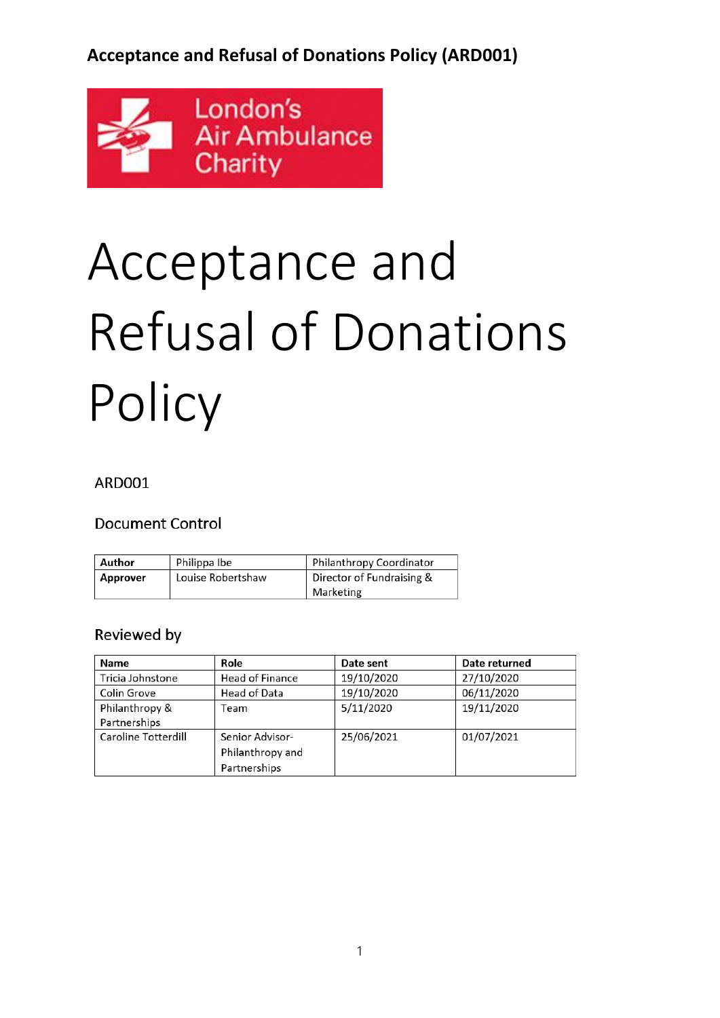

# Acceptance and Refusal of Donations **Policy**

#### **ARD001**

#### **Document Control**

| Author   | Philippa Ibe      | Philanthropy Coordinator               |
|----------|-------------------|----------------------------------------|
| Approver | Louise Robertshaw | Director of Fundraising &<br>Marketing |

#### Reviewed by

| Name                | Role                   | Date sent  | Date returned |
|---------------------|------------------------|------------|---------------|
| Tricia Johnstone    | <b>Head of Finance</b> | 19/10/2020 | 27/10/2020    |
| Colin Grove         | Head of Data           | 19/10/2020 | 06/11/2020    |
| Philanthropy &      | Геаm                   | 5/11/2020  | 19/11/2020    |
| Partnerships        |                        |            |               |
| Caroline Totterdill | Senior Advisor-        | 25/06/2021 | 01/07/2021    |
|                     | Philanthropy and       |            |               |
|                     | Partnerships           |            |               |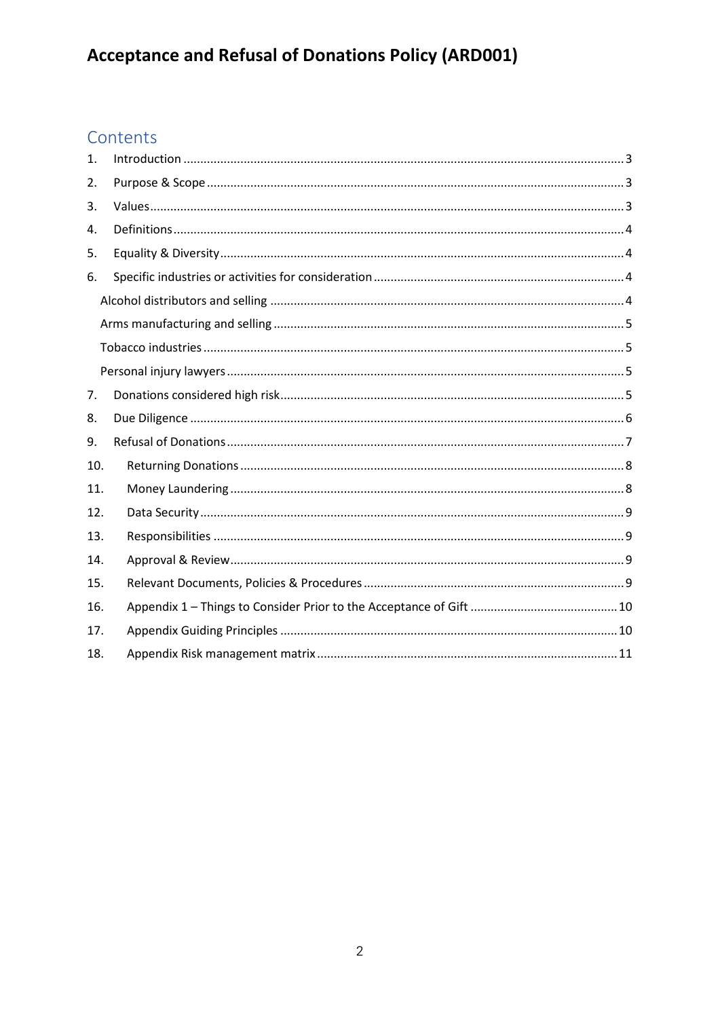## Contents

| 1.  |  |  |  |
|-----|--|--|--|
| 2.  |  |  |  |
| 3.  |  |  |  |
| 4.  |  |  |  |
| 5.  |  |  |  |
| 6.  |  |  |  |
|     |  |  |  |
|     |  |  |  |
|     |  |  |  |
|     |  |  |  |
| 7.  |  |  |  |
| 8.  |  |  |  |
| 9.  |  |  |  |
| 10. |  |  |  |
| 11. |  |  |  |
| 12. |  |  |  |
| 13. |  |  |  |
| 14. |  |  |  |
| 15. |  |  |  |
| 16. |  |  |  |
| 17. |  |  |  |
| 18. |  |  |  |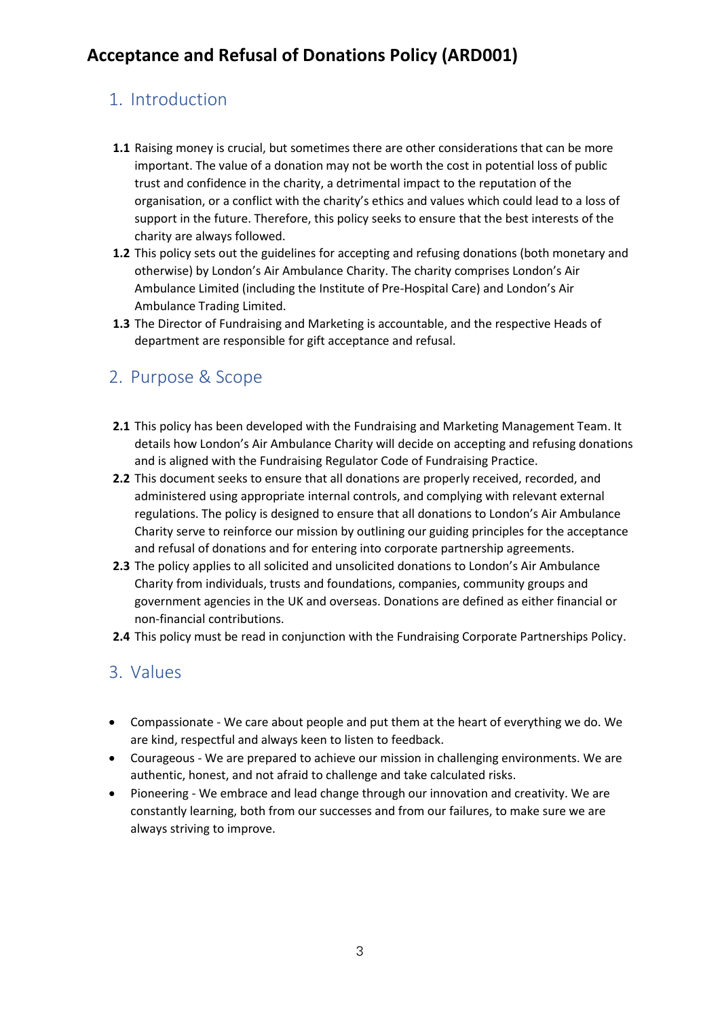#### <span id="page-2-0"></span>1. Introduction

- **1.1** Raising money is crucial, but sometimes there are other considerations that can be more important. The value of a donation may not be worth the cost in potential loss of public trust and confidence in the charity, a detrimental impact to the reputation of the organisation, or a conflict with the charity's ethics and values which could lead to a loss of support in the future. Therefore, this policy seeks to ensure that the best interests of the charity are always followed.
- **1.2** This policy sets out the guidelines for accepting and refusing donations (both monetary and otherwise) by London's Air Ambulance Charity. The charity comprises London's Air Ambulance Limited (including the Institute of Pre-Hospital Care) and London's Air Ambulance Trading Limited.
- **1.3** The Director of Fundraising and Marketing is accountable, and the respective Heads of department are responsible for gift acceptance and refusal.

#### <span id="page-2-1"></span>2. Purpose & Scope

- **2.1** This policy has been developed with the Fundraising and Marketing Management Team. It details how London's Air Ambulance Charity will decide on accepting and refusing donations and is aligned with the Fundraising Regulator Code of Fundraising Practice.
- **2.2** This document seeks to ensure that all donations are properly received, recorded, and administered using appropriate internal controls, and complying with relevant external regulations. The policy is designed to ensure that all donations to London's Air Ambulance Charity serve to reinforce our mission by outlining our guiding principles for the acceptance and refusal of donations and for entering into corporate partnership agreements.
- **2.3** The policy applies to all solicited and unsolicited donations to London's Air Ambulance Charity from individuals, trusts and foundations, companies, community groups and government agencies in the UK and overseas. Donations are defined as either financial or non-financial contributions.
- **2.4** This policy must be read in conjunction with the Fundraising Corporate Partnerships Policy.

#### <span id="page-2-2"></span>3. Values

- Compassionate We care about people and put them at the heart of everything we do. We are kind, respectful and always keen to listen to feedback.
- Courageous We are prepared to achieve our mission in challenging environments. We are authentic, honest, and not afraid to challenge and take calculated risks.
- Pioneering We embrace and lead change through our innovation and creativity. We are constantly learning, both from our successes and from our failures, to make sure we are always striving to improve.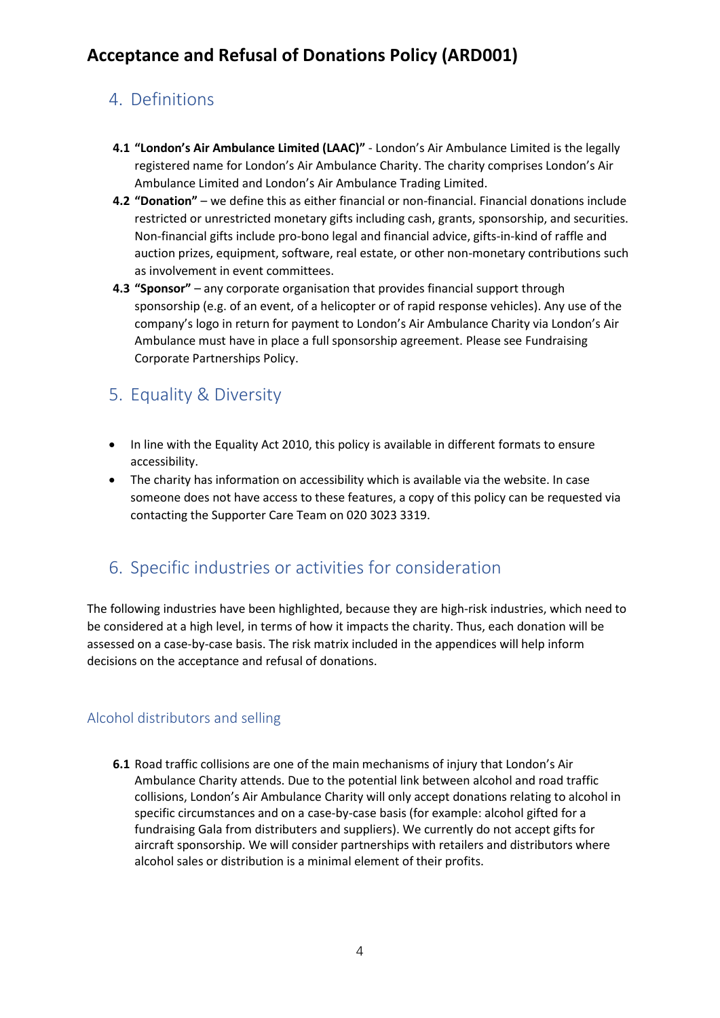#### <span id="page-3-0"></span>4. Definitions

- **4.1 "London's Air Ambulance Limited (LAAC)"** London's Air Ambulance Limited is the legally registered name for London's Air Ambulance Charity. The charity comprises London's Air Ambulance Limited and London's Air Ambulance Trading Limited.
- **4.2 "Donation"** we define this as either financial or non-financial. Financial donations include restricted or unrestricted monetary gifts including cash, grants, sponsorship, and securities. Non-financial gifts include pro-bono legal and financial advice, gifts-in-kind of raffle and auction prizes, equipment, software, real estate, or other non-monetary contributions such as involvement in event committees.
- **4.3 "Sponsor"** any corporate organisation that provides financial support through sponsorship (e.g. of an event, of a helicopter or of rapid response vehicles). Any use of the company's logo in return for payment to London's Air Ambulance Charity via London's Air Ambulance must have in place a full sponsorship agreement. Please see Fundraising Corporate Partnerships Policy.

#### <span id="page-3-1"></span>5. Equality & Diversity

- In line with the Equality Act 2010, this policy is available in different formats to ensure accessibility.
- The charity has information on accessibility which is available via the website. In case someone does not have access to these features, a copy of this policy can be requested via contacting the Supporter Care Team on 020 3023 3319.

#### <span id="page-3-2"></span>6. Specific industries or activities for consideration

The following industries have been highlighted, because they are high-risk industries, which need to be considered at a high level, in terms of how it impacts the charity. Thus, each donation will be assessed on a case-by-case basis. The risk matrix included in the appendices will help inform decisions on the acceptance and refusal of donations.

#### <span id="page-3-3"></span>Alcohol distributors and selling

**6.1** Road traffic collisions are one of the main mechanisms of injury that London's Air Ambulance Charity attends. Due to the potential link between alcohol and road traffic collisions, London's Air Ambulance Charity will only accept donations relating to alcohol in specific circumstances and on a case-by-case basis (for example: alcohol gifted for a fundraising Gala from distributers and suppliers). We currently do not accept gifts for aircraft sponsorship. We will consider partnerships with retailers and distributors where alcohol sales or distribution is a minimal element of their profits.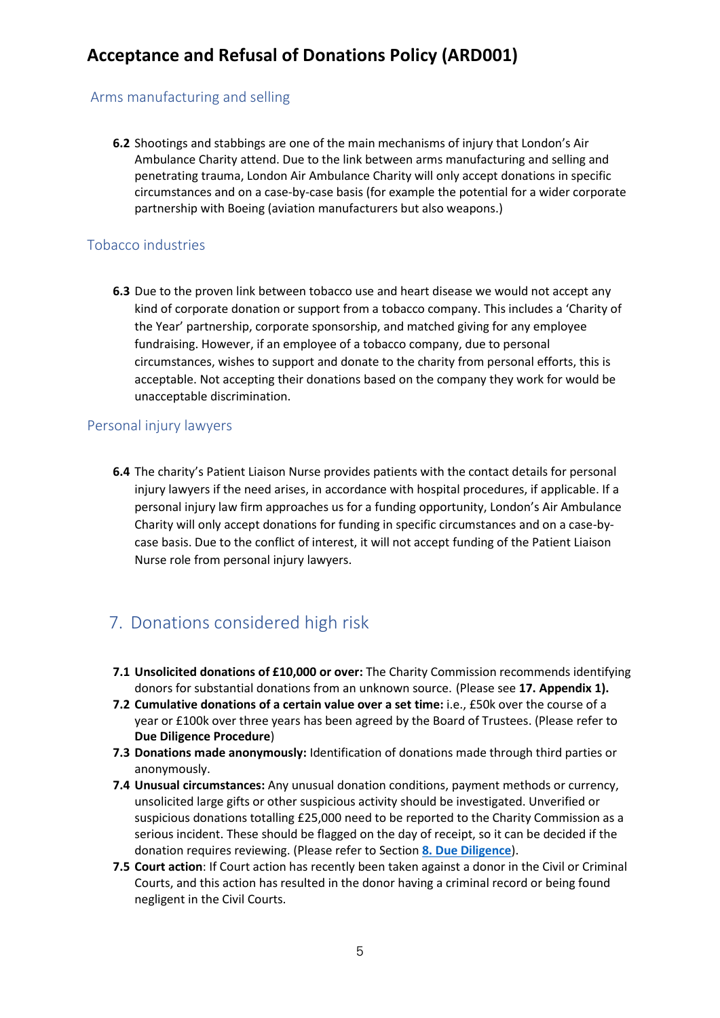#### <span id="page-4-0"></span>Arms manufacturing and selling

**6.2** Shootings and stabbings are one of the main mechanisms of injury that London's Air Ambulance Charity attend. Due to the link between arms manufacturing and selling and penetrating trauma, London Air Ambulance Charity will only accept donations in specific circumstances and on a case-by-case basis (for example the potential for a wider corporate partnership with Boeing (aviation manufacturers but also weapons.)

#### <span id="page-4-1"></span>Tobacco industries

**6.3** Due to the proven link between tobacco use and heart disease we would not accept any kind of corporate donation or support from a tobacco company. This includes a 'Charity of the Year' partnership, corporate sponsorship, and matched giving for any employee fundraising. However, if an employee of a tobacco company, due to personal circumstances, wishes to support and donate to the charity from personal efforts, this is acceptable. Not accepting their donations based on the company they work for would be unacceptable discrimination.

#### <span id="page-4-2"></span>Personal injury lawyers

**6.4** The charity's Patient Liaison Nurse provides patients with the contact details for personal injury lawyers if the need arises, in accordance with hospital procedures, if applicable. If a personal injury law firm approaches us for a funding opportunity, London's Air Ambulance Charity will only accept donations for funding in specific circumstances and on a case-bycase basis. Due to the conflict of interest, it will not accept funding of the Patient Liaison Nurse role from personal injury lawyers.

#### <span id="page-4-3"></span>7. Donations considered high risk

- **7.1 Unsolicited donations of £10,000 or over:** The Charity Commission recommends identifying donors for substantial donations from an unknown source. (Please see **17. Appendix 1).**
- **7.2 Cumulative donations of a certain value over a set time:** i.e., £50k over the course of a year or £100k over three years has been agreed by the Board of Trustees. (Please refer to **Due Diligence Procedure**)
- **7.3 Donations made anonymously:** Identification of donations made through third parties or anonymously.
- **7.4 Unusual circumstances:** Any unusual donation conditions, payment methods or currency, unsolicited large gifts or other suspicious activity should be investigated. Unverified or suspicious donations totalling £25,000 need to be reported to the Charity Commission as a serious incident. These should be flagged on the day of receipt, so it can be decided if the donation requires reviewing. (Please refer to Section **[8. Due Diligence](#page-5-0)**).
- **7.5 Court action**: If Court action has recently been taken against a donor in the Civil or Criminal Courts, and this action has resulted in the donor having a criminal record or being found negligent in the Civil Courts.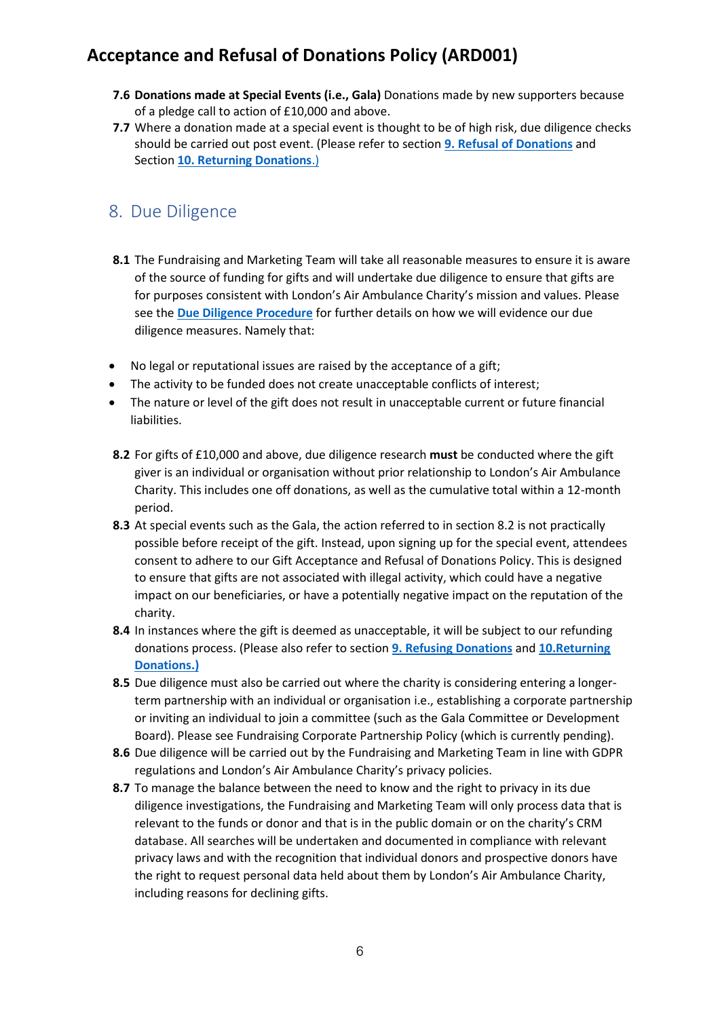- **7.6 Donations made at Special Events (i.e., Gala)** Donations made by new supporters because of a pledge call to action of £10,000 and above.
- **7.7** Where a donation made at a special event is thought to be of high risk, due diligence checks should be carried out post event. (Please refer to section **9. [Refusal of Donations](#page-6-0)** and Section **[10. Returning Donations](#page-7-0)**.)

#### <span id="page-5-0"></span>8. Due Diligence

- **8.1** The Fundraising and Marketing Team will take all reasonable measures to ensure it is aware of the source of funding for gifts and will undertake due diligence to ensure that gifts are for purposes consistent with London's Air Ambulance Charity's mission and values. Please see the **[Due Diligence Procedure](https://londonsairambulance.sharepoint.com/:w:/r/sites/LAAPoliciesandProcedures/_layouts/15/Doc.aspx?sourcedoc=%7BAEDD6E18-2575-49F0-97D0-B677BB56631E%7D&file=Due%20Dilligence%20Procedure.docx&action=default&mobileredirect=true&DefaultItemOpen=1)** for further details on how we will evidence our due diligence measures. Namely that:
- No legal or reputational issues are raised by the acceptance of a gift;
- The activity to be funded does not create unacceptable conflicts of interest;
- The nature or level of the gift does not result in unacceptable current or future financial liabilities.
- **8.2** For gifts of £10,000 and above, due diligence research **must** be conducted where the gift giver is an individual or organisation without prior relationship to London's Air Ambulance Charity. This includes one off donations, as well as the cumulative total within a 12-month period.
- **8.3** At special events such as the Gala, the action referred to in section 8.2 is not practically possible before receipt of the gift. Instead, upon signing up for the special event, attendees consent to adhere to our Gift Acceptance and Refusal of Donations Policy. This is designed to ensure that gifts are not associated with illegal activity, which could have a negative impact on our beneficiaries, or have a potentially negative impact on the reputation of the charity.
- **8.4** In instances where the gift is deemed as unacceptable, it will be subject to our refunding donations process. (Please also refer to section **9. [Refusing Donations](#page-6-0)** and **[10.Returning](#page-7-0)  [Donations.\)](#page-7-0)**
- **8.5** Due diligence must also be carried out where the charity is considering entering a longerterm partnership with an individual or organisation i.e., establishing a corporate partnership or inviting an individual to join a committee (such as the Gala Committee or Development Board). Please see Fundraising Corporate Partnership Policy (which is currently pending).
- **8.6** Due diligence will be carried out by the Fundraising and Marketing Team in line with GDPR regulations and London's Air Ambulance Charity's privacy policies.
- **8.7** To manage the balance between the need to know and the right to privacy in its due diligence investigations, the Fundraising and Marketing Team will only process data that is relevant to the funds or donor and that is in the public domain or on the charity's CRM database. All searches will be undertaken and documented in compliance with relevant privacy laws and with the recognition that individual donors and prospective donors have the right to request personal data held about them by London's Air Ambulance Charity, including reasons for declining gifts.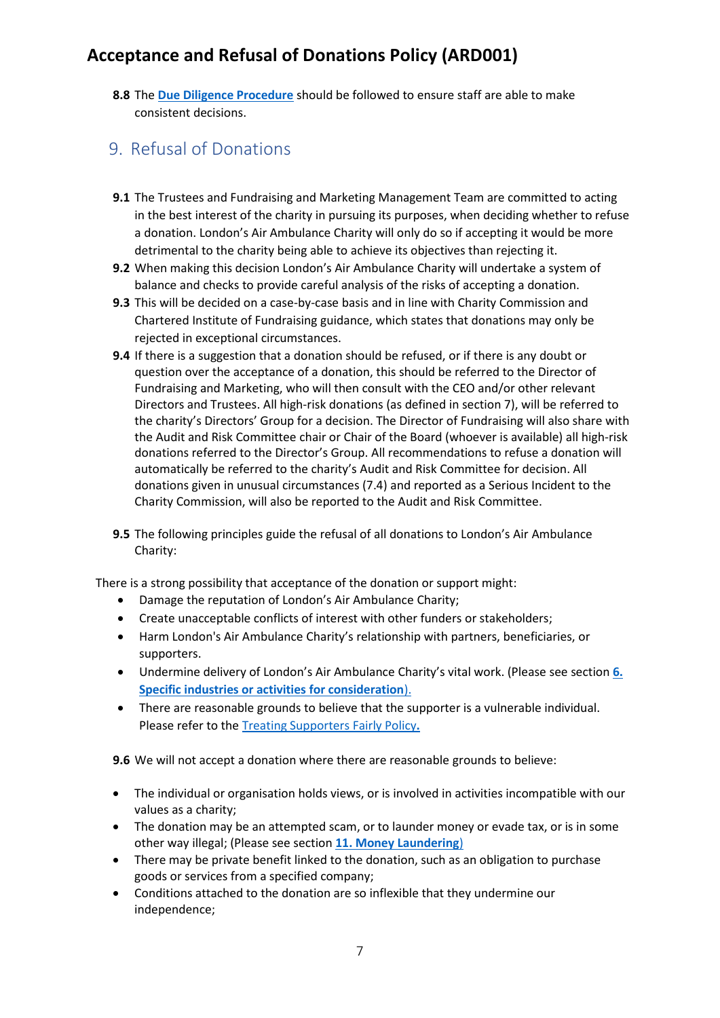**8.8** The **[Due Diligence Procedure](https://londonsairambulance.sharepoint.com/:w:/r/sites/LAAPoliciesandProcedures/_layouts/15/Doc.aspx?sourcedoc=%7BAEDD6E18-2575-49F0-97D0-B677BB56631E%7D&file=Due%20Dilligence%20Procedure.docx&action=default&mobileredirect=true&DefaultItemOpen=1)** should be followed to ensure staff are able to make consistent decisions.

#### <span id="page-6-0"></span>9. Refusal of Donations

- **9.1** The Trustees and Fundraising and Marketing Management Team are committed to acting in the best interest of the charity in pursuing its purposes, when deciding whether to refuse a donation. London's Air Ambulance Charity will only do so if accepting it would be more detrimental to the charity being able to achieve its objectives than rejecting it.
- **9.2** When making this decision London's Air Ambulance Charity will undertake a system of balance and checks to provide careful analysis of the risks of accepting a donation.
- **9.3** This will be decided on a case-by-case basis and in line with Charity Commission and Chartered Institute of Fundraising guidance, which states that donations may only be rejected in exceptional circumstances.
- **9.4** If there is a suggestion that a donation should be refused, or if there is any doubt or question over the acceptance of a donation, this should be referred to the Director of Fundraising and Marketing, who will then consult with the CEO and/or other relevant Directors and Trustees. All high-risk donations (as defined in section 7), will be referred to the charity's Directors' Group for a decision. The Director of Fundraising will also share with the Audit and Risk Committee chair or Chair of the Board (whoever is available) all high-risk donations referred to the Director's Group. All recommendations to refuse a donation will automatically be referred to the charity's Audit and Risk Committee for decision. All donations given in unusual circumstances (7.4) and reported as a Serious Incident to the Charity Commission, will also be reported to the Audit and Risk Committee.
- **9.5** The following principles guide the refusal of all donations to London's Air Ambulance Charity:

There is a strong possibility that acceptance of the donation or support might:

- Damage the reputation of London's Air Ambulance Charity;
- Create unacceptable conflicts of interest with other funders or stakeholders;
- Harm London's Air Ambulance Charity's relationship with partners, beneficiaries, or supporters.
- Undermine delivery of London's Air Ambulance Charity's vital work. (Please see section **[6.](#page-3-2) [Specific industries or activities for consideration](#page-3-2)**).
- There are reasonable grounds to believe that the supporter is a vulnerable individual. Please refer to the [Treating Supporters Fairly Policy](https://londonsairambulance.sharepoint.com/sites/LAAPoliciesandProcedures/Shared%20Documents/Fundraising%20Policies/DM&SE/TSF001%20-%20Treating%20Supporters%20Fairly%20Policy.pdf)**.**

**9.6** We will not accept a donation where there are reasonable grounds to believe:

- The individual or organisation holds views, or is involved in activities incompatible with our values as a charity;
- The donation may be an attempted scam, or to launder money or evade tax, or is in some other way illegal; (Please see section **11. [Money Laundering](#page-7-1)**)
- There may be private benefit linked to the donation, such as an obligation to purchase goods or services from a specified company;
- Conditions attached to the donation are so inflexible that they undermine our independence;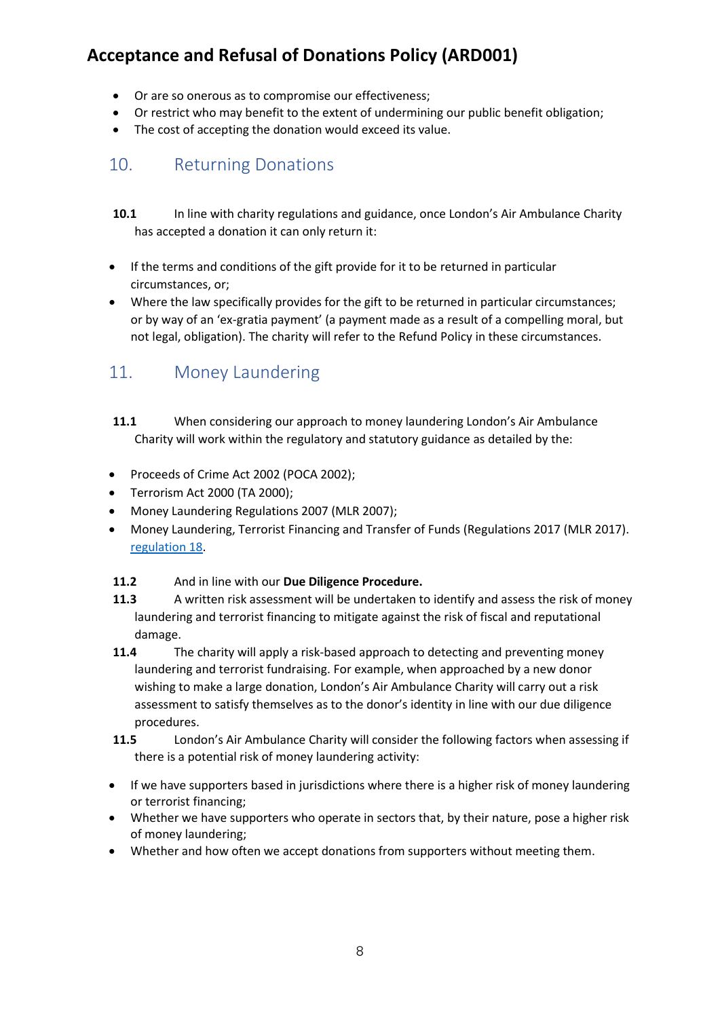- Or are so onerous as to compromise our effectiveness;
- Or restrict who may benefit to the extent of undermining our public benefit obligation;
- The cost of accepting the donation would exceed its value.

#### <span id="page-7-0"></span>10. Returning Donations

- **10.1** In line with charity regulations and guidance, once London's Air Ambulance Charity has accepted a donation it can only return it:
- If the terms and conditions of the gift provide for it to be returned in particular circumstances, or;
- Where the law specifically provides for the gift to be returned in particular circumstances; or by way of an 'ex-gratia payment' (a payment made as a result of a compelling moral, but not legal, obligation). The charity will refer to the Refund Policy in these circumstances.

## <span id="page-7-1"></span>11. Money Laundering

- **11.1** When considering our approach to money laundering London's Air Ambulance Charity will work within the regulatory and statutory guidance as detailed by the:
- Proceeds of Crime Act 2002 (POCA 2002);
- Terrorism Act 2000 (TA 2000);
- Money Laundering Regulations 2007 (MLR 2007);
- Money Laundering, Terrorist Financing and Transfer of Funds (Regulations 2017 (MLR 2017). [regulation 18.](https://www.legislation.gov.uk/uksi/2017/692/regulation/18/made)

#### **11.2** And in line with our **Due Diligence Procedure.**

- **11.3** A written risk assessment will be undertaken to identify and assess the risk of money laundering and terrorist financing to mitigate against the risk of fiscal and reputational damage.
- **11.4** The charity will apply a risk-based approach to detecting and preventing money laundering and terrorist fundraising. For example, when approached by a new donor wishing to make a large donation, London's Air Ambulance Charity will carry out a risk assessment to satisfy themselves as to the donor's identity in line with our due diligence procedures.
- **11.5** London's Air Ambulance Charity will consider the following factors when assessing if there is a potential risk of money laundering activity:
- If we have supporters based in jurisdictions where there is a higher risk of money laundering or terrorist financing;
- Whether we have supporters who operate in sectors that, by their nature, pose a higher risk of money laundering;
- Whether and how often we accept donations from supporters without meeting them.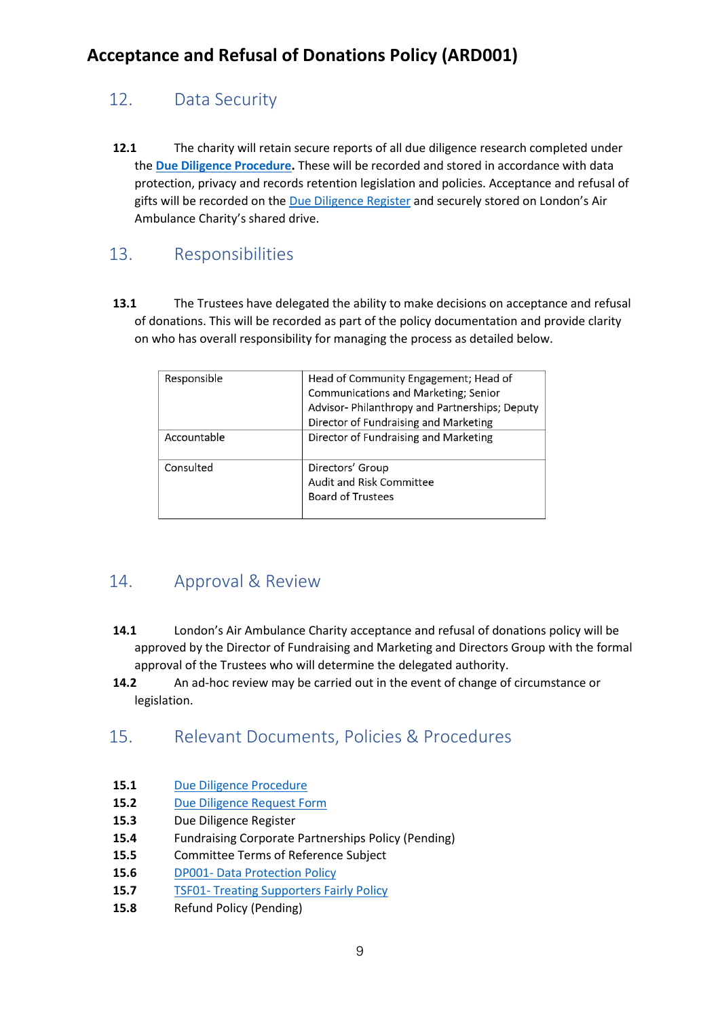## <span id="page-8-0"></span>12. Data Security

**12.1** The charity will retain secure reports of all due diligence research completed under the **[Due Diligence Procedure.](https://londonsairambulance.sharepoint.com/:w:/r/sites/LAAPoliciesandProcedures/_layouts/15/Doc.aspx?sourcedoc=%7BAEDD6E18-2575-49F0-97D0-B677BB56631E%7D&file=Due%20Dilligence%20Procedure.docx&action=default&mobileredirect=true&DefaultItemOpen=1)** These will be recorded and stored in accordance with data protection, privacy and records retention legislation and policies. Acceptance and refusal of gifts will be recorded on the [Due Diligence Register](file:///G:/Development/Philanthropy%20Partnerships%20Events%20Planning/Compliance,%20Due%20Diligence%20&%20GDPR/Due%20Diligence) and securely stored on London's Air Ambulance Charity's shared drive.

#### <span id="page-8-1"></span>13. Responsibilities

**13.1** The Trustees have delegated the ability to make decisions on acceptance and refusal of donations. This will be recorded as part of the policy documentation and provide clarity on who has overall responsibility for managing the process as detailed below.

| Responsible | Head of Community Engagement; Head of<br>Communications and Marketing; Senior<br>Advisor- Philanthropy and Partnerships; Deputy<br>Director of Fundraising and Marketing |
|-------------|--------------------------------------------------------------------------------------------------------------------------------------------------------------------------|
| Accountable | Director of Fundraising and Marketing                                                                                                                                    |
| Consulted   | Directors' Group<br>Audit and Risk Committee<br><b>Board of Trustees</b>                                                                                                 |

#### <span id="page-8-2"></span>14. Approval & Review

- **14.1** London's Air Ambulance Charity acceptance and refusal of donations policy will be approved by the Director of Fundraising and Marketing and Directors Group with the formal approval of the Trustees who will determine the delegated authority.
- **14.2** An ad-hoc review may be carried out in the event of change of circumstance or legislation.

#### <span id="page-8-3"></span>15. Relevant Documents, Policies & Procedures

- 15.1 [Due Diligence Procedure](https://londonsairambulance.sharepoint.com/:w:/r/sites/LAAPoliciesandProcedures/_layouts/15/Doc.aspx?sourcedoc=%7BAEDD6E18-2575-49F0-97D0-B677BB56631E%7D&file=Due%20Dilligence%20Procedure.docx&action=default&mobileredirect=true)
- 15.2 [Due Diligence Request Form](https://londonsairambulance.sharepoint.com/:w:/s/PPE/EU1bYVnrCzpEozcEpAEgBWQBHzCLvcNfcS3Z0JdiuP509g?e=Vvrfuz)
- **15.3** Due Diligence Register
- **15.4** Fundraising Corporate Partnerships Policy (Pending)
- **15.5** Committee Terms of Reference Subject
- **15.6** DP001- [Data Protection](https://londonsairambulance.sharepoint.com/sites/LAAPoliciesandProcedures/Shared%20Documents/Forms/AllItems.aspx?id=%2Fsites%2FLAAPoliciesandProcedures%2FShared%20Documents%2FData%20and%20GDPR%20Policies%2FDP001%20Data%20Protection%20Policy%20%2Epdf&parent=%2Fsites%2FLAAPoliciesandProcedures%2FShared%20Documents%2FData%20and%20GDPR%20Policies) Policy
- 15.7 TSF01- [Treating Supporters Fairly Policy](https://londonsairambulance.sharepoint.com/sites/LAAPoliciesandProcedures/Shared%20Documents/Forms/AllItems.aspx?id=%2Fsites%2FLAAPoliciesandProcedures%2FShared%20Documents%2FFundraising%20Policies%2FDM%26SE%2FTSF001%20%2D%20Treating%20Supporters%20Fairly%20Policy%2Epdf&parent=%2Fsites%2FLAAPoliciesandProcedures%2FShared%20Documents%2FFundraising%20Policies%2FDM%26SE)
- **15.8** Refund Policy (Pending)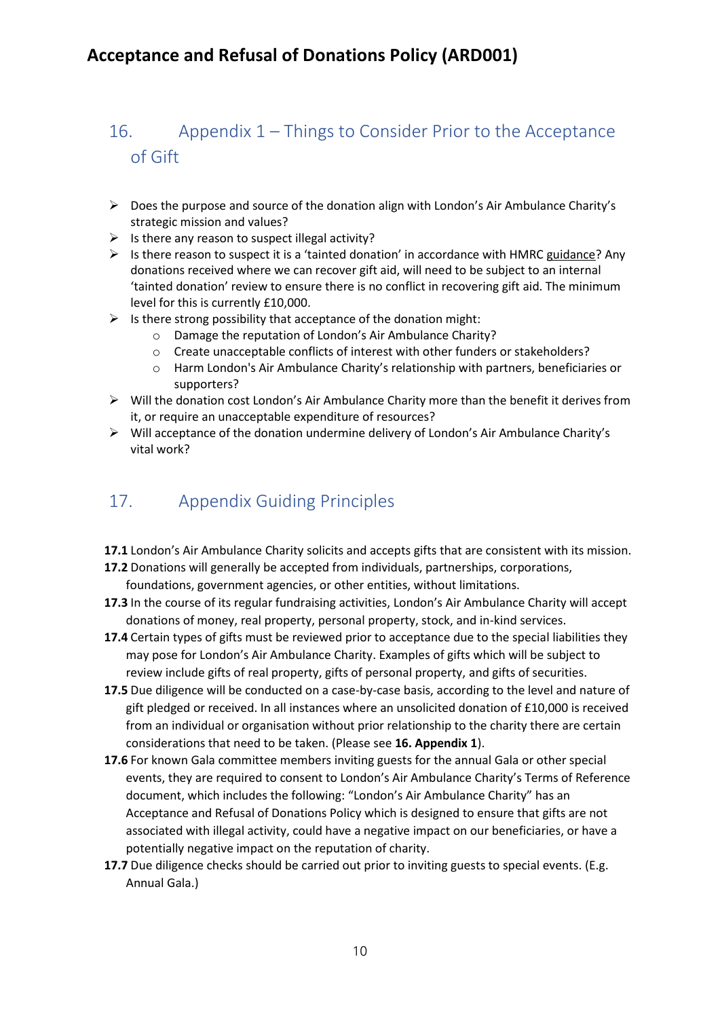## <span id="page-9-0"></span>16. Appendix 1 – Things to Consider Prior to the Acceptance of Gift

- ➢ Does the purpose and source of the donation align with London's Air Ambulance Charity's strategic mission and values?
- $\triangleright$  Is there any reason to suspect illegal activity?
- ➢ Is there reason to suspect it is a 'tainted donation' in accordance with HMRC [guidance?](https://www.gov.uk/government/publications/charities-detailed-guidance-notes/annex-viii-tainted-charity-donations#introduction) Any donations received where we can recover gift aid, will need to be subject to an internal 'tainted donation' review to ensure there is no conflict in recovering gift aid. The minimum level for this is currently £10,000.
- $\triangleright$  Is there strong possibility that acceptance of the donation might:
	- o Damage the reputation of London's Air Ambulance Charity?
	- o Create unacceptable conflicts of interest with other funders or stakeholders?
	- o Harm London's Air Ambulance Charity's relationship with partners, beneficiaries or supporters?
- $\triangleright$  Will the donation cost London's Air Ambulance Charity more than the benefit it derives from it, or require an unacceptable expenditure of resources?
- ➢ Will acceptance of the donation undermine delivery of London's Air Ambulance Charity's vital work?

## <span id="page-9-1"></span>17. Appendix Guiding Principles

- **17.1** London's Air Ambulance Charity solicits and accepts gifts that are consistent with its mission.
- **17.2** Donations will generally be accepted from individuals, partnerships, corporations, foundations, government agencies, or other entities, without limitations.
- **17.3** In the course of its regular fundraising activities, London's Air Ambulance Charity will accept donations of money, real property, personal property, stock, and in-kind services.
- **17.4** Certain types of gifts must be reviewed prior to acceptance due to the special liabilities they may pose for London's Air Ambulance Charity. Examples of gifts which will be subject to review include gifts of real property, gifts of personal property, and gifts of securities.
- 17.5 Due diligence will be conducted on a case-by-case basis, according to the level and nature of gift pledged or received. In all instances where an unsolicited donation of £10,000 is received from an individual or organisation without prior relationship to the charity there are certain considerations that need to be taken. (Please see **16. Appendix 1**).
- **17.6** For known Gala committee members inviting guests for the annual Gala or other special events, they are required to consent to London's Air Ambulance Charity's Terms of Reference document, which includes the following: "London's Air Ambulance Charity" has an Acceptance and Refusal of Donations Policy which is designed to ensure that gifts are not associated with illegal activity, could have a negative impact on our beneficiaries, or have a potentially negative impact on the reputation of charity.
- 17.7 Due diligence checks should be carried out prior to inviting guests to special events. (E.g. Annual Gala.)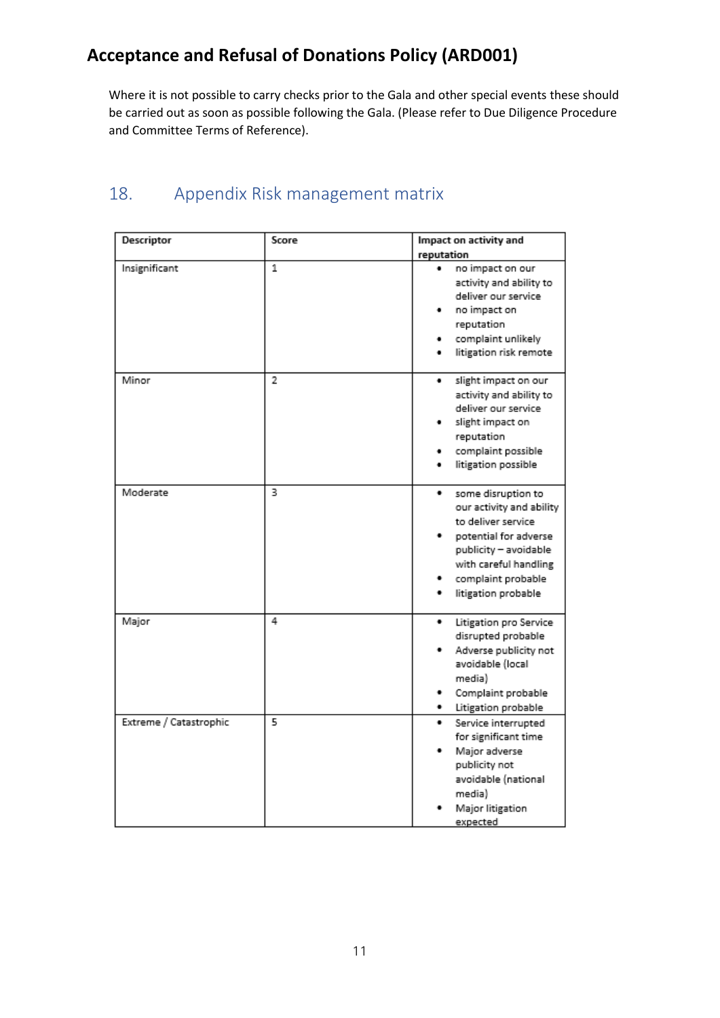Where it is not possible to carry checks prior to the Gala and other special events these should be carried out as soon as possible following the Gala. (Please refer to Due Diligence Procedure and Committee Terms of Reference).

## <span id="page-10-0"></span>18. Appendix Risk management matrix

| Descriptor             | Score          | Impact on activity and                                                                                                                                                                            |
|------------------------|----------------|---------------------------------------------------------------------------------------------------------------------------------------------------------------------------------------------------|
|                        |                | reputation                                                                                                                                                                                        |
| Insignificant          | 1              | no impact on our<br>activity and ability to<br>deliver our service<br>no impact on<br>reputation<br>complaint unlikely<br>litigation risk remote                                                  |
| Minor                  | $\overline{2}$ | slight impact on our<br>٠<br>activity and ability to<br>deliver our service<br>slight impact on<br>reputation<br>complaint possible<br>litigation possible                                        |
| Moderate               | 3              | ٠<br>some disruption to<br>our activity and ability<br>to deliver service<br>potential for adverse<br>publicity - avoidable<br>with careful handling<br>complaint probable<br>litigation probable |
| Major                  | 4              | ٠<br>Litigation pro Service<br>disrupted probable<br>Adverse publicity not<br>avoidable (local<br>media)<br>Complaint probable<br>Litigation probable                                             |
| Extreme / Catastrophic | 5              | Service interrupted<br>for significant time<br>Major adverse<br>publicity not<br>avoidable (national<br>media)<br>Major litigation<br>hetperve                                                    |